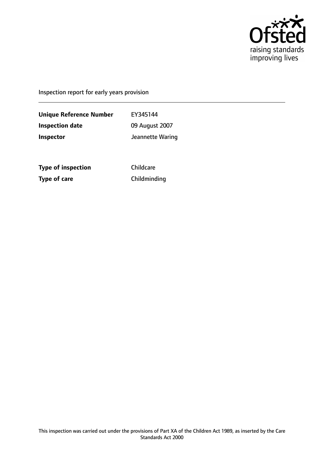

Inspection report for early years provision

**Unique Reference Number** EY345144 **Inspection date** 09 August 2007 **Inspector Inspector Jeannette Waring** 

**Type of inspection** Childcare **Type of care** Childminding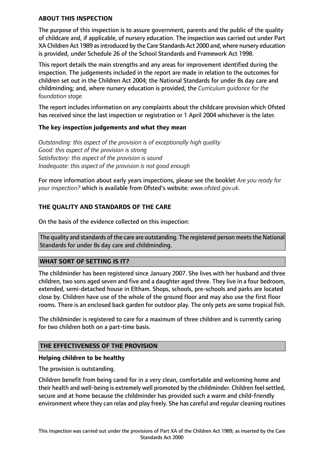## **ABOUT THIS INSPECTION**

The purpose of this inspection is to assure government, parents and the public of the quality of childcare and, if applicable, of nursery education. The inspection was carried out under Part XA Children Act 1989 asintroduced by the Care Standards Act 2000 and, where nursery education is provided, under Schedule 26 of the School Standards and Framework Act 1998.

This report details the main strengths and any areas for improvement identified during the inspection. The judgements included in the report are made in relation to the outcomes for children set out in the Children Act 2004; the National Standards for under 8s day care and childminding; and, where nursery education is provided, the *Curriculum guidance for the foundation stage.*

The report includes information on any complaints about the childcare provision which Ofsted has received since the last inspection or registration or 1 April 2004 whichever is the later.

### **The key inspection judgements and what they mean**

*Outstanding: this aspect of the provision is of exceptionally high quality Good: this aspect of the provision is strong Satisfactory: this aspect of the provision is sound Inadequate: this aspect of the provision is not good enough*

For more information about early years inspections, please see the booklet *Are you ready for your inspection?* which is available from Ofsted's website: *www.ofsted.gov.uk.*

# **THE QUALITY AND STANDARDS OF THE CARE**

On the basis of the evidence collected on this inspection:

The quality and standards of the care are outstanding. The registered person meets the National Standards for under 8s day care and childminding.

#### **WHAT SORT OF SETTING IS IT?**

The childminder has been registered since January 2007. She lives with her husband and three children, two sons aged seven and five and a daughter aged three. They live in a four bedroom, extended, semi-detached house in Eltham. Shops, schools, pre-schools and parks are located close by. Children have use of the whole of the ground floor and may also use the first floor rooms. There is an enclosed back garden for outdoor play. The only pets are some tropical fish.

The childminder is registered to care for a maximum of three children and is currently caring for two children both on a part-time basis.

## **THE EFFECTIVENESS OF THE PROVISION**

#### **Helping children to be healthy**

The provision is outstanding.

Children benefit from being cared for in a very clean, comfortable and welcoming home and their health and well-being is extremely well promoted by the childminder. Children feel settled, secure and at home because the childminder has provided such a warm and child-friendly environment where they can relax and play freely. She has careful and regular cleaning routines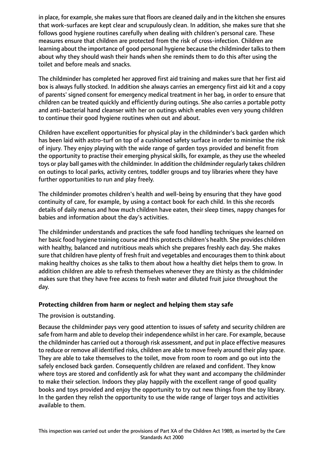in place, for example, she makes sure that floors are cleaned daily and in the kitchen she ensures that work-surfaces are kept clear and scrupulously clean. In addition, she makes sure that she follows good hygiene routines carefully when dealing with children's personal care. These measures ensure that children are protected from the risk of cross-infection. Children are learning about the importance of good personal hygiene because the childminder talks to them about why they should wash their hands when she reminds them to do this after using the toilet and before meals and snacks.

The childminder has completed her approved first aid training and makes sure that her first aid box is always fully stocked. In addition she always carries an emergency first aid kit and a copy of parents' signed consent for emergency medical treatment in her bag, in order to ensure that children can be treated quickly and efficiently during outings. She also carries a portable potty and anti-bacterial hand cleanser with her on outings which enables even very young children to continue their good hygiene routines when out and about.

Children have excellent opportunities for physical play in the childminder's back garden which has been laid with astro-turf on top of a cushioned safety surface in order to minimise the risk of injury. They enjoy playing with the wide range of garden toys provided and benefit from the opportunity to practise their emerging physical skills, for example, as they use the wheeled toys or play ball games with the childminder. In addition the childminder regularly takes children on outings to local parks, activity centres, toddler groups and toy libraries where they have further opportunities to run and play freely.

The childminder promotes children's health and well-being by ensuring that they have good continuity of care, for example, by using a contact book for each child. In this she records details of daily menus and how much children have eaten, their sleep times, nappy changes for babies and information about the day's activities.

The childminder understands and practices the safe food handling techniques she learned on her basic food hygiene training course and this protects children's health. She provides children with healthy, balanced and nutritious meals which she prepares freshly each day. She makes sure that children have plenty of fresh fruit and vegetables and encourages them to think about making healthy choices as she talks to them about how a healthy diet helps them to grow. In addition children are able to refresh themselves whenever they are thirsty as the childminder makes sure that they have free access to fresh water and diluted fruit juice throughout the day.

## **Protecting children from harm or neglect and helping them stay safe**

#### The provision is outstanding.

Because the childminder pays very good attention to issues of safety and security children are safe from harm and able to develop their independence whilst in her care. For example, because the childminder has carried out a thorough risk assessment, and put in place effective measures to reduce or remove all identified risks, children are able to move freely around their play space. They are able to take themselves to the toilet, move from room to room and go out into the safely enclosed back garden. Consequently children are relaxed and confident. They know where toys are stored and confidently ask for what they want and accompany the childminder to make their selection. Indoors they play happily with the excellent range of good quality books and toys provided and enjoy the opportunity to try out new things from the toy library. In the garden they relish the opportunity to use the wide range of larger toys and activities available to them.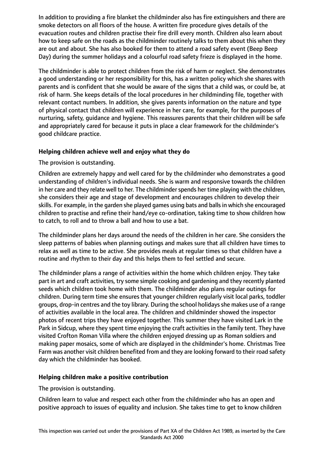In addition to providing a fire blanket the childminder also has fire extinguishers and there are smoke detectors on all floors of the house. A written fire procedure gives details of the evacuation routes and children practise their fire drill every month. Children also learn about how to keep safe on the roads as the childminder routinely talks to them about this when they are out and about. She has also booked for them to attend a road safety event (Beep Beep Day) during the summer holidays and a colourful road safety frieze is displayed in the home.

The childminder is able to protect children from the risk of harm or neglect. She demonstrates a good understanding or her responsibility for this, has a written policy which she shares with parents and is confident that she would be aware of the signs that a child was, or could be, at risk of harm. She keeps details of the local procedures in her childminding file, together with relevant contact numbers. In addition, she gives parents information on the nature and type of physical contact that children will experience in her care, for example, for the purposes of nurturing, safety, guidance and hygiene. This reassures parents that their children will be safe and appropriately cared for because it puts in place a clear framework for the childminder's good childcare practice.

## **Helping children achieve well and enjoy what they do**

# The provision is outstanding.

Children are extremely happy and well cared for by the childminder who demonstrates a good understanding of children's individual needs. She is warm and responsive towards the children in her care and they relate well to her. The childminder spends her time playing with the children, she considers their age and stage of development and encourages children to develop their skills. For example, in the garden she played games using bats and balls in which she encouraged children to practise and refine their hand/eye co-ordination, taking time to show children how to catch, to roll and to throw a ball and how to use a bat.

The childminder plans her days around the needs of the children in her care. She considers the sleep patterns of babies when planning outings and makes sure that all children have times to relax as well as time to be active. She provides meals at regular times so that children have a routine and rhythm to their day and this helps them to feel settled and secure.

The childminder plans a range of activities within the home which children enjoy. They take part in art and craft activities, try some simple cooking and gardening and they recently planted seeds which children took home with them. The childminder also plans regular outings for children. During term time she ensures that younger children regularly visit local parks, toddler groups, drop-in centres and the toy library. During the school holidays she makes use of a range of activities available in the local area. The children and childminder showed the inspector photos of recent trips they have enjoyed together. This summer they have visited Lark in the Park in Sidcup, where they spent time enjoying the craft activities in the family tent. They have visited Crofton Roman Villa where the children enjoyed dressing up as Roman soldiers and making paper mosaics, some of which are displayed in the childminder's home. Christmas Tree Farm was another visit children benefited from and they are looking forward to their road safety day which the childminder has booked.

# **Helping children make a positive contribution**

The provision is outstanding.

Children learn to value and respect each other from the childminder who has an open and positive approach to issues of equality and inclusion. She takes time to get to know children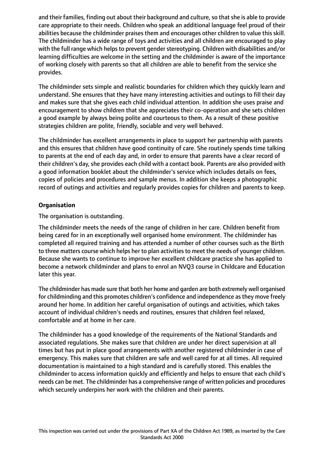and their families, finding out about their background and culture, so that she is able to provide care appropriate to their needs. Children who speak an additional language feel proud of their abilities because the childminder praises them and encourages other children to value this skill. The childminder has a wide range of toys and activities and all children are encouraged to play with the full range which helps to prevent gender stereotyping. Children with disabilities and/or learning difficulties are welcome in the setting and the childminder is aware of the importance of working closely with parents so that all children are able to benefit from the service she provides.

The childminder sets simple and realistic boundaries for children which they quickly learn and understand. She ensures that they have many interesting activities and outings to fill their day and makes sure that she gives each child individual attention. In addition she uses praise and encouragement to show children that she appreciates their co-operation and she sets children a good example by always being polite and courteous to them. As a result of these positive strategies children are polite, friendly, sociable and very well behaved.

The childminder has excellent arrangements in place to support her partnership with parents and this ensures that children have good continuity of care. She routinely spends time talking to parents at the end of each day and, in order to ensure that parents have a clear record of their children's day, she provides each child with a contact book. Parents are also provided with a good information booklet about the childminder's service which includes details on fees, copies of policies and procedures and sample menus. In addition she keeps a photographic record of outings and activities and regularly provides copies for children and parents to keep.

# **Organisation**

The organisation is outstanding.

The childminder meets the needs of the range of children in her care. Children benefit from being cared for in an exceptionally well organised home environment. The childminder has completed all required training and has attended a number of other courses such as the Birth to three matters course which helps her to plan activities to meet the needs of younger children. Because she wants to continue to improve her excellent childcare practice she has applied to become a network childminder and plans to enrol an NVQ3 course in Childcare and Education later this year.

The childminder has made sure that both her home and garden are both extremely well organised for childminding and this promotes children's confidence and independence asthey move freely around her home. In addition her careful organisation of outings and activities, which takes account of individual children's needs and routines, ensures that children feel relaxed, comfortable and at home in her care.

The childminder has a good knowledge of the requirements of the National Standards and associated regulations. She makes sure that children are under her direct supervision at all times but has put in place good arrangements with another registered childminder in case of emergency. This makes sure that children are safe and well cared for at all times. All required documentation is maintained to a high standard and is carefully stored. This enables the childminder to access information quickly and efficiently and helps to ensure that each child's needs can be met. The childminder has a comprehensive range of written policies and procedures which securely underpins her work with the children and their parents.